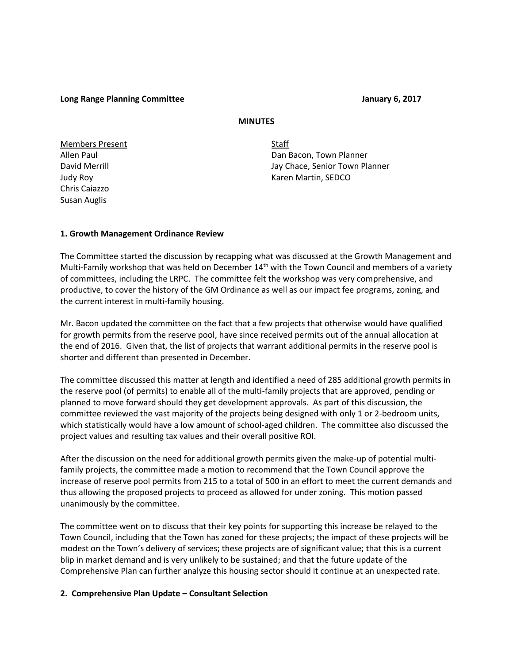**Long Range Planning Committee January 6, 2017** 

### **MINUTES**

Members Present Staff Chris Caiazzo Susan Auglis

Allen Paul Dan Bacon, Town Planner David Merrill **David Merrill** Jay Chace, Senior Town Planner Judy Roy November 2012 12:00 November 2013 12:00 November 2013 12:00 November 2013

## **1. Growth Management Ordinance Review**

The Committee started the discussion by recapping what was discussed at the Growth Management and Multi-Family workshop that was held on December  $14<sup>th</sup>$  with the Town Council and members of a variety of committees, including the LRPC. The committee felt the workshop was very comprehensive, and productive, to cover the history of the GM Ordinance as well as our impact fee programs, zoning, and the current interest in multi-family housing.

Mr. Bacon updated the committee on the fact that a few projects that otherwise would have qualified for growth permits from the reserve pool, have since received permits out of the annual allocation at the end of 2016. Given that, the list of projects that warrant additional permits in the reserve pool is shorter and different than presented in December.

The committee discussed this matter at length and identified a need of 285 additional growth permits in the reserve pool (of permits) to enable all of the multi-family projects that are approved, pending or planned to move forward should they get development approvals. As part of this discussion, the committee reviewed the vast majority of the projects being designed with only 1 or 2-bedroom units, which statistically would have a low amount of school-aged children. The committee also discussed the project values and resulting tax values and their overall positive ROI.

After the discussion on the need for additional growth permits given the make-up of potential multifamily projects, the committee made a motion to recommend that the Town Council approve the increase of reserve pool permits from 215 to a total of 500 in an effort to meet the current demands and thus allowing the proposed projects to proceed as allowed for under zoning. This motion passed unanimously by the committee.

The committee went on to discuss that their key points for supporting this increase be relayed to the Town Council, including that the Town has zoned for these projects; the impact of these projects will be modest on the Town's delivery of services; these projects are of significant value; that this is a current blip in market demand and is very unlikely to be sustained; and that the future update of the Comprehensive Plan can further analyze this housing sector should it continue at an unexpected rate.

## **2. Comprehensive Plan Update – Consultant Selection**